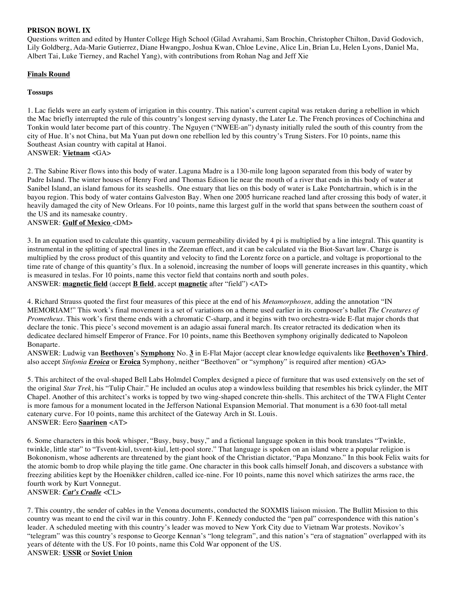## **PRISON BOWL IX**

Questions written and edited by Hunter College High School (Gilad Avrahami, Sam Brochin, Christopher Chilton, David Godovich, Lily Goldberg, Ada-Marie Gutierrez, Diane Hwangpo, Joshua Kwan, Chloe Levine, Alice Lin, Brian Lu, Helen Lyons, Daniel Ma, Albert Tai, Luke Tierney, and Rachel Yang), with contributions from Rohan Nag and Jeff Xie

## **Finals Round**

## **Tossups**

1. Lac fields were an early system of irrigation in this country. This nation's current capital was retaken during a rebellion in which the Mac briefly interrupted the rule of this country's longest serving dynasty, the Later Le. The French provinces of Cochinchina and Tonkin would later become part of this country. The Nguyen ("NWEE-an") dynasty initially ruled the south of this country from the city of Hue. It's not China, but Ma Yuan put down one rebellion led by this country's Trung Sisters. For 10 points, name this Southeast Asian country with capital at Hanoi. ANSWER: **Vietnam** <GA>

#### 2. The Sabine River flows into this body of water. Laguna Madre is a 130-mile long lagoon separated from this body of water by Padre Island. The winter houses of Henry Ford and Thomas Edison lie near the mouth of a river that ends in this body of water at Sanibel Island, an island famous for its seashells. One estuary that lies on this body of water is Lake Pontchartrain, which is in the bayou region. This body of water contains Galveston Bay. When one 2005 hurricane reached land after crossing this body of water, it heavily damaged the city of New Orleans. For 10 points, name this largest gulf in the world that spans between the southern coast of the US and its namesake country.

#### ANSWER: **Gulf of Mexico** <DM>

3. In an equation used to calculate this quantity, vacuum permeability divided by 4 pi is multiplied by a line integral. This quantity is instrumental in the splitting of spectral lines in the Zeeman effect, and it can be calculated via the Biot-Savart law. Charge is multiplied by the cross product of this quantity and velocity to find the Lorentz force on a particle, and voltage is proportional to the time rate of change of this quantity's flux. In a solenoid, increasing the number of loops will generate increases in this quantity, which is measured in teslas. For 10 points, name this vector field that contains north and south poles. ANSWER: **magnetic field** (accept **B field**, accept **magnetic** after "field") <AT>

4. Richard Strauss quoted the first four measures of this piece at the end of his *Metamorphosen,* adding the annotation "IN MEMORIAM!" This work's final movement is a set of variations on a theme used earlier in its composer's ballet *The Creatures of Prometheus*. This work's first theme ends with a chromatic C-sharp, and it begins with two orchestra-wide E-flat major chords that declare the tonic. This piece's second movement is an adagio assai funeral march. Its creator retracted its dedication when its dedicatee declared himself Emperor of France. For 10 points, name this Beethoven symphony originally dedicated to Napoleon Bonaparte.

ANSWER: Ludwig van **Beethoven**'s **Symphony** No. **3** in E-Flat Major (accept clear knowledge equivalents like **Beethoven's Third**, also accept *Sinfonia Eroica* or **Eroica** Symphony, neither "Beethoven" or "symphony" is required after mention) <GA>

5. This architect of the oval-shaped Bell Labs Holmdel Complex designed a piece of furniture that was used extensively on the set of the original *Star Trek*, his "Tulip Chair." He included an oculus atop a windowless building that resembles his brick cylinder, the MIT Chapel. Another of this architect's works is topped by two wing-shaped concrete thin-shells. This architect of the TWA Flight Center is more famous for a monument located in the Jefferson National Expansion Memorial. That monument is a 630 foot-tall metal catenary curve. For 10 points, name this architect of the Gateway Arch in St. Louis. ANSWER: Eero **Saarinen** <AT>

6. Some characters in this book whisper, "Busy, busy, busy," and a fictional language spoken in this book translates "Twinkle, twinkle, little star" to "Tsvent-kiul, tsvent-kiul, lett-pool store." That language is spoken on an island where a popular religion is Bokononism, whose adherents are threatened by the giant hook of the Christian dictator, "Papa Monzano." In this book Felix waits for the atomic bomb to drop while playing the title game. One character in this book calls himself Jonah, and discovers a substance with freezing abilities kept by the Hoenikker children, called ice-nine. For 10 points, name this novel which satirizes the arms race, the fourth work by Kurt Vonnegut.

ANSWER: *Cat's Cradle* <CL>

7. This country, the sender of cables in the Venona documents, conducted the SOXMIS liaison mission. The Bullitt Mission to this country was meant to end the civil war in this country. John F. Kennedy conducted the "pen pal" correspondence with this nation's leader. A scheduled meeting with this country's leader was moved to New York City due to Vietnam War protests. Novikov's "telegram" was this country's response to George Kennan's "long telegram", and this nation's "era of stagnation" overlapped with its years of détente with the US. For 10 points, name this Cold War opponent of the US. ANSWER: **USSR** or **Soviet Union**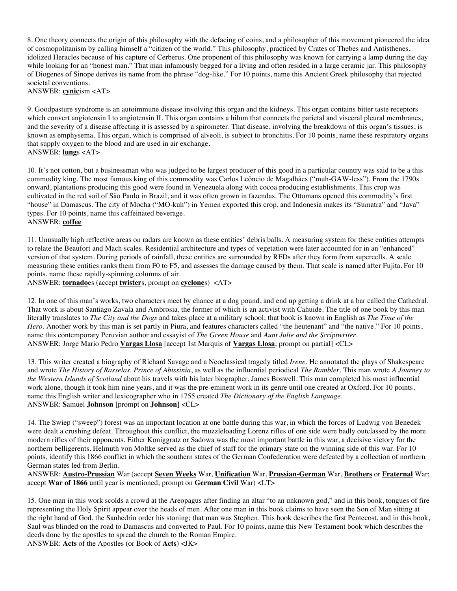8. One theory connects the origin of this philosophy with the defacing of coins, and a philosopher of this movement pioneered the idea of cosmopolitanism by calling himself a "citizen of the world." This philosophy, practiced by Crates of Thebes and Antisthenes, idolized Heracles because of his capture of Cerberus. One proponent of this philosophy was known for carrying a lamp during the day while looking for an "honest man." That man infamously begged for a living and often resided in a large ceramic jar. This philosophy of Diogenes of Sinope derives its name from the phrase "dog-like." For 10 points, name this Ancient Greek philosophy that rejected societal conventions.

ANSWER: **cynic**ism <AT>

9. Goodpasture syndrome is an autoimmune disease involving this organ and the kidneys. This organ contains bitter taste receptors which convert angiotensin I to angiotensin II. This organ contains a hilum that connects the parietal and visceral pleural membranes, and the severity of a disease affecting it is assessed by a spirometer. That disease, involving the breakdown of this organ's tissues, is known as emphysema. This organ, which is comprised of alveoli, is subject to bronchitis. For 10 points, name these respiratory organs that supply oxygen to the blood and are used in air exchange. ANSWER: **lung**s <AT>

10. It's not cotton, but a businessman who was judged to be largest producer of this good in a particular country was said to be a this commodity king. The most famous king of this commodity was Carlos Leôncio de Magalhães ("muh-GAW-less"). From the 1790s onward, plantations producing this good were found in Venezuela along with cocoa producing establishments. This crop was cultivated in the red soil of São Paulo in Brazil, and it was often grown in fazendas. The Ottomans opened this commodity's first "house" in Damascus. The city of Mocha ("MO-kuh") in Yemen exported this crop, and Indonesia makes its "Sumatra" and "Java" types. For 10 points, name this caffeinated beverage. ANSWER: **coffee**

11. Unusually high reflective areas on radars are known as these entities' debris balls. A measuring system for these entities attempts to relate the Beaufort and Mach scales. Residential architecture and types of vegetation were later accounted for in an "enhanced" version of that system. During periods of rainfall, these entities are surrounded by RFDs after they form from supercells. A scale measuring these entities ranks them from F0 to F5, and assesses the damage caused by them. That scale is named after Fujita. For 10 points, name these rapidly-spinning columns of air.

ANSWER: **tornado**es (accept **twister**s, prompt on **cyclone**s) <AT>

12. In one of this man's works, two characters meet by chance at a dog pound, and end up getting a drink at a bar called the Cathedral. That work is about Santiago Zavala and Ambrosia, the former of which is an activist with Cahuide. The title of one book by this man literally translates to *The City and the Dogs* and takes place at a military school; that book is known in English as *The Time of the Hero*. Another work by this man is set partly in Piura, and features characters called "the lieutenant" and "the native." For 10 points, name this contemporary Peruvian author and essayist of *The Green House* and *Aunt Julie and the Scriptwriter.* ANSWER: Jorge Mario Pedro **Vargas Llosa** [accept 1st Marquis of **Vargas Llosa**; prompt on partial] <CL>

13. This writer created a biography of Richard Savage and a Neoclassical tragedy titled *Irene*. He annotated the plays of Shakespeare and wrote *The History of Rasselas, Prince of Abissinia*, as well as the influential periodical *The Rambler*. This man wrote *A Journey to the Western Islands of Scotland* about his travels with his later biographer, James Boswell. This man completed his most influential work alone, though it took him nine years, and it was the pre-eminent work in its genre until one created at Oxford. For 10 points, name this English writer and lexicographer who in 1755 created *The Dictionary of the English Language*. ANSWER: **S**amuel **Johnson** [prompt on **Johnson**] <CL>

14. The Swiep ("sweep") forest was an important location at one battle during this war, in which the forces of Ludwig von Benedek were dealt a crushing defeat. Throughout this conflict, the muzzleloading Lorenz rifles of one side were badly outclassed by the more modern rifles of their opponents. Either Koniggratz or Sadowa was the most important battle in this war, a decisive victory for the northern belligerents. Helmuth von Moltke served as the chief of staff for the primary state on the winning side of this war. For 10 points, identify this 1866 conflict in which the southern states of the German Confederation were defeated by a collection of northern German states led from Berlin.

ANSWER: **Austro-Prussian** War (accept **Seven Weeks** War, **Unification** War, **Prussian-German** War, **Brothers** or **Fraternal** War; accept **War of 1866** until year is mentioned; prompt on **German Civil** War) <LT>

15. One man in this work scolds a crowd at the Areopagus after finding an altar "to an unknown god," and in this book, tongues of fire representing the Holy Spirit appear over the heads of men. After one man in this book claims to have seen the Son of Man sitting at the right hand of God, the Sanhedrin order his stoning; that man was Stephen. This book describes the first Pentecost, and in this book, Saul was blinded on the road to Damascus and converted to Paul. For 10 points, name this New Testament book which describes the deeds done by the apostles to spread the church to the Roman Empire.

ANSWER: **Acts** of the Apostles (or Book of **Acts**) <JK>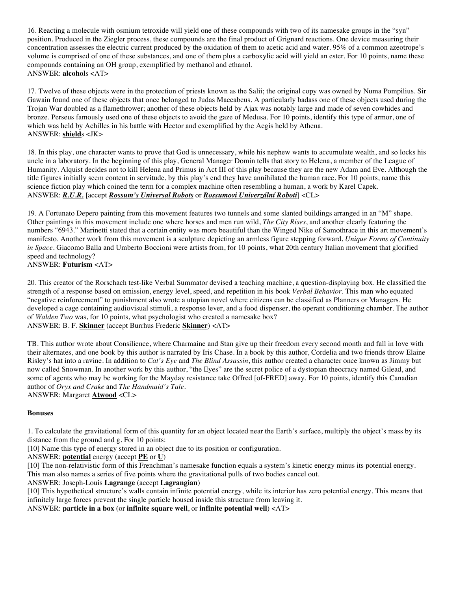16. Reacting a molecule with osmium tetroxide will yield one of these compounds with two of its namesake groups in the "syn" position. Produced in the Ziegler process, these compounds are the final product of Grignard reactions. One device measuring their concentration assesses the electric current produced by the oxidation of them to acetic acid and water. 95% of a common azeotrope's volume is comprised of one of these substances, and one of them plus a carboxylic acid will yield an ester. For 10 points, name these compounds containing an OH group, exemplified by methanol and ethanol. ANSWER: **alcohol**s <AT>

17. Twelve of these objects were in the protection of priests known as the Salii; the original copy was owned by Numa Pompilius. Sir Gawain found one of these objects that once belonged to Judas Maccabeus. A particularly badass one of these objects used during the Trojan War doubled as a flamethrower; another of these objects held by Ajax was notably large and made of seven cowhides and bronze. Perseus famously used one of these objects to avoid the gaze of Medusa. For 10 points, identify this type of armor, one of which was held by Achilles in his battle with Hector and exemplified by the Aegis held by Athena. ANSWER: **shield**s <JK>

18. In this play, one character wants to prove that God is unnecessary, while his nephew wants to accumulate wealth, and so locks his uncle in a laboratory. In the beginning of this play, General Manager Domin tells that story to Helena, a member of the League of Humanity. Alquist decides not to kill Helena and Primus in Act III of this play because they are the new Adam and Eve. Although the title figures initially seem content in servitude, by this play's end they have annihilated the human race. For 10 points, name this science fiction play which coined the term for a complex machine often resembling a human, a work by Karel Capek. ANSWER: *R.U.R.* [accept *Rossum's Universal Robots* or *Rossumovi Univerzální Roboti*] <CL>

19. A Fortunato Depero painting from this movement features two tunnels and some slanted buildings arranged in an "M" shape. Other paintings in this movement include one where horses and men run wild, *The City Rises*, and another clearly featuring the numbers "6943." Marinetti stated that a certain entity was more beautiful than the Winged Nike of Samothrace in this art movement's manifesto. Another work from this movement is a sculpture depicting an armless figure stepping forward, *Unique Forms of Continuity in Space*. Giacomo Balla and Umberto Boccioni were artists from, for 10 points, what 20th century Italian movement that glorified speed and technology? ANSWER: **Futurism** <AT>

20. This creator of the Rorschach test-like Verbal Summator devised a teaching machine, a question-displaying box. He classified the strength of a response based on emission, energy level, speed, and repetition in his book *Verbal Behavior*. This man who equated "negative reinforcement" to punishment also wrote a utopian novel where citizens can be classified as Planners or Managers. He developed a cage containing audiovisual stimuli, a response lever, and a food dispenser, the operant conditioning chamber. The author of *Walden Two* was, for 10 points, what psychologist who created a namesake box? ANSWER: B. F. **Skinner** (accept Burrhus Frederic **Skinner**) <AT>

TB. This author wrote about Consilience, where Charmaine and Stan give up their freedom every second month and fall in love with their alternates, and one book by this author is narrated by Iris Chase. In a book by this author, Cordelia and two friends throw Elaine Risley's hat into a ravine. In addition to *Cat's Eye* and *The Blind Assassin*, this author created a character once known as Jimmy but now called Snowman. In another work by this author, "the Eyes" are the secret police of a dystopian theocracy named Gilead, and some of agents who may be working for the Mayday resistance take Offred [of-FRED] away. For 10 points, identify this Canadian author of *Oryx and Crake* and *The Handmaid's Tale*.

ANSWER: Margaret **Atwood** <CL>

#### **Bonuses**

1. To calculate the gravitational form of this quantity for an object located near the Earth's surface, multiply the object's mass by its distance from the ground and g. For 10 points:

[10] Name this type of energy stored in an object due to its position or configuration.

ANSWER: **potential** energy (accept **PE** or **U**)

[10] The non-relativistic form of this Frenchman's namesake function equals a system's kinetic energy minus its potential energy. This man also names a series of five points where the gravitational pulls of two bodies cancel out.

ANSWER: Joseph-Louis **Lagrange** (accept **Lagrangian**)

[10] This hypothetical structure's walls contain infinite potential energy, while its interior has zero potential energy. This means that infinitely large forces prevent the single particle housed inside this structure from leaving it.

ANSWER: **particle in a box** (or **infinite square well**, or **infinite potential well**) <AT>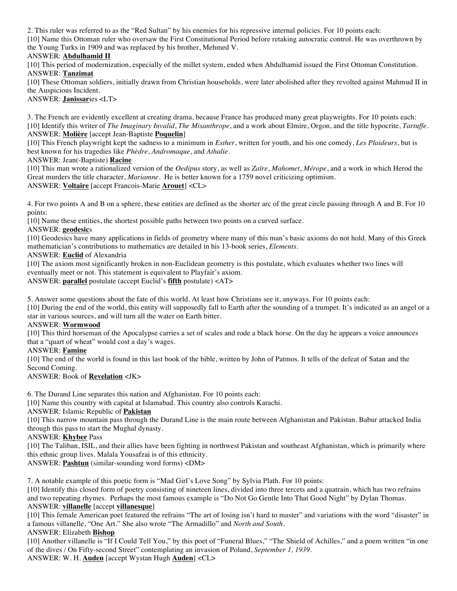2. This ruler was referred to as the "Red Sultan" by his enemies for his repressive internal policies. For 10 points each:

[10] Name this Ottoman ruler who oversaw the First Constitutional Period before retaking autocratic control. He was overthrown by the Young Turks in 1909 and was replaced by his brother, Mehmed V.

## ANSWER: **Abdulhamid II**

[10] This period of modernization, especially of the millet system, ended when Abdulhamid issued the First Ottoman Constitution. ANSWER: **Tanzimat**

[10] These Ottoman soldiers, initially drawn from Christian households, were later abolished after they revolted against Mahmud II in the Auspicious Incident.

ANSWER: **Janissar**ies <LT>

3. The French are evidently excellent at creating drama, because France has produced many great playwrights. For 10 points each: [10] Identify this writer of *The Imaginary Invalid*, *The Misanthrope*, and a work about Elmire, Orgon, and the title hypocrite, *Tartuffe*. ANSWER: **Molière** [accept Jean-Baptiste **Poquelin**]

[10] This French playwright kept the sadness to a minimum in *Esther*, written for youth, and his one comedy, *Les Plaideurs*, but is best known for his tragedies like *Phèdre*, *Andromaque*, and *Athalie*.

ANSWER: Jean(-Baptiste) **Racine**

[10] This man wrote a rationalized version of the *Oedipus* story, as well as *Zaïre*, *Mahomet*, *Mérope*, and a work in which Herod the Great murders the title character, *Mariamne*. He is better known for a 1759 novel criticizing optimism. ANSWER: **Voltaire** [accept Francois-Marie **Arouet**] <CL>

4. For two points A and B on a sphere, these entities are defined as the shorter arc of the great circle passing through A and B. For 10 points:

[10] Name these entities, the shortest possible paths between two points on a curved surface.

## ANSWER: **geodesic**s

[10] Geodesics have many applications in fields of geometry where many of this man's basic axioms do not hold. Many of this Greek mathematician's contributions to mathematics are detailed in his 13-book series, *Elements*.

ANSWER: **Euclid** of Alexandria

[10] The axiom most significantly broken in non-Euclidean geometry is this postulate, which evaluates whether two lines will eventually meet or not. This statement is equivalent to Playfair's axiom.

ANSWER: **parallel** postulate (accept Euclid's **fifth** postulate) <AT>

5. Answer some questions about the fate of this world. At least how Christians see it, anyways. For 10 points each:

[10] During the end of the world, this entity will supposedly fall to Earth after the sounding of a trumpet. It's indicated as an angel or a star in various sources, and will turn all the water on Earth bitter.

#### ANSWER: **Wormwood**

[10] This third horseman of the Apocalypse carries a set of scales and rode a black horse. On the day he appears a voice announces that a "quart of wheat" would cost a day's wages.

## ANSWER: **Famine**

[10] The end of the world is found in this last book of the bible, written by John of Patmos. It tells of the defeat of Satan and the Second Coming.

ANSWER: Book of **Revelation** <JK>

6. The Durand Line separates this nation and Afghanistan. For 10 points each:

[10] Name this country with capital at Islamabad. This country also controls Karachi.

ANSWER: Islamic Republic of **Pakistan**

[10] This narrow mountain pass through the Durand Line is the main route between Afghanistan and Pakistan. Babur attacked India through this pass to start the Mughal dynasty.

# ANSWER: **Khyber** Pass

[10] The Taliban, ISIL, and their allies have been fighting in northwest Pakistan and southeast Afghanistan, which is primarily where this ethnic group lives. Malala Yousafzai is of this ethnicity.

ANSWER: **Pashtun** (similar-sounding word forms) <DM>

7. A notable example of this poetic form is "Mad Girl's Love Song" by Sylvia Plath. For 10 points:

[10] Identify this closed form of poetry consisting of nineteen lines, divided into three tercets and a quatrain, which has two refrains and two repeating rhymes. Perhaps the most famous example is "Do Not Go Gentle Into That Good Night" by Dylan Thomas. ANSWER: **villanelle** [accept **villanesque**]

[10] This female American poet featured the refrains "The art of losing isn't hard to master" and variations with the word "disaster" in a famous villanelle, "One Art." She also wrote "The Armadillo" and *North and South.* 

# ANSWER: Elizabeth **Bishop**

[10] Another villanelle is "If I Could Tell You," by this poet of "Funeral Blues," "The Shield of Achilles," and a poem written "in one of the dives / On Fifty-second Street" contemplating an invasion of Poland, *September 1, 1939*.

ANSWER: W. H. **Auden** [accept Wystan Hugh **Auden**] <CL>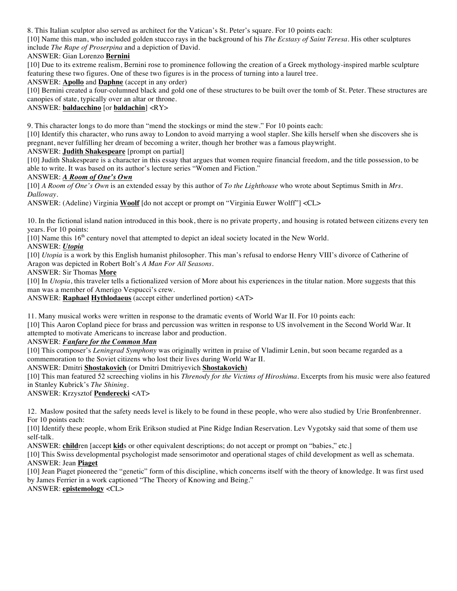8. This Italian sculptor also served as architect for the Vatican's St. Peter's square. For 10 points each:

[10] Name this man, who included golden stucco rays in the background of his *The Ecstasy of Saint Teresa*. His other sculptures include *The Rape of Proserpina* and a depiction of David*.*

## ANSWER: Gian Lorenzo **Bernini**

[10] Due to its extreme realism, Bernini rose to prominence following the creation of a Greek mythology-inspired marble sculpture featuring these two figures. One of these two figures is in the process of turning into a laurel tree.

ANSWER: **Apollo** and **Daphne** (accept in any order)

[10] Bernini created a four-columned black and gold one of these structures to be built over the tomb of St. Peter. These structures are canopies of state, typically over an altar or throne.

## ANSWER: **baldacchino** [or **baldachin**] <RY>

9. This character longs to do more than "mend the stockings or mind the stew." For 10 points each:

[10] Identify this character, who runs away to London to avoid marrying a wool stapler. She kills herself when she discovers she is pregnant, never fulfilling her dream of becoming a writer, though her brother was a famous playwright.

## ANSWER: **Judith Shakespeare** [prompt on partial]

[10] Judith Shakespeare is a character in this essay that argues that women require financial freedom, and the title possession, to be able to write. It was based on its author's lecture series "Women and Fiction."

## ANSWER: *A Room of One's Own*

[10] *A Room of One's Own* is an extended essay by this author of *To the Lighthouse* who wrote about Septimus Smith in *Mrs. Dalloway*.

ANSWER: (Adeline) Virginia **Woolf** [do not accept or prompt on "Virginia Euwer Wolff"] <CL>

10. In the fictional island nation introduced in this book, there is no private property, and housing is rotated between citizens every ten years. For 10 points:

 $[10]$  Name this 16<sup>th</sup> century novel that attempted to depict an ideal society located in the New World.

ANSWER: *Utopia*

[10] *Utopia* is a work by this English humanist philosopher. This man's refusal to endorse Henry VIII's divorce of Catherine of Aragon was depicted in Robert Bolt's *A Man For All Seasons.*

ANSWER: Sir Thomas **More**

[10] In *Utopia*, this traveler tells a fictionalized version of More about his experiences in the titular nation. More suggests that this man was a member of Amerigo Vespucci's crew.

ANSWER: **Raphael Hythlodaeus** (accept either underlined portion) <AT>

11. Many musical works were written in response to the dramatic events of World War II. For 10 points each:

[10] This Aaron Copland piece for brass and percussion was written in response to US involvement in the Second World War. It attempted to motivate Americans to increase labor and production.

ANSWER: *Fanfare for the Common Man*

[10] This composer's *Leningrad Symphony* was originally written in praise of Vladimir Lenin, but soon became regarded as a commemoration to the Soviet citizens who lost their lives during World War II.

ANSWER: Dmitri **Shostakovich** (or Dmitri Dmitriyevich **Shostakovich)** 

[10] This man featured 52 screeching violins in his *Threnody for the Victims of Hiroshima*. Excerpts from his music were also featured in Stanley Kubrick's *The Shining*.

ANSWER: Krzysztof **Penderecki** <AT>

12. Maslow posited that the safety needs level is likely to be found in these people, who were also studied by Urie Bronfenbrenner. For 10 points each:

[10] Identify these people, whom Erik Erikson studied at Pine Ridge Indian Reservation. Lev Vygotsky said that some of them use self-talk.

ANSWER: **child**ren [accept **kid**s or other equivalent descriptions; do not accept or prompt on "babies," etc.]

[10] This Swiss developmental psychologist made sensorimotor and operational stages of child development as well as schemata. ANSWER: Jean **Piaget**

[10] Jean Piaget pioneered the "genetic" form of this discipline, which concerns itself with the theory of knowledge. It was first used by James Ferrier in a work captioned "The Theory of Knowing and Being."

ANSWER: **epistemology** <CL>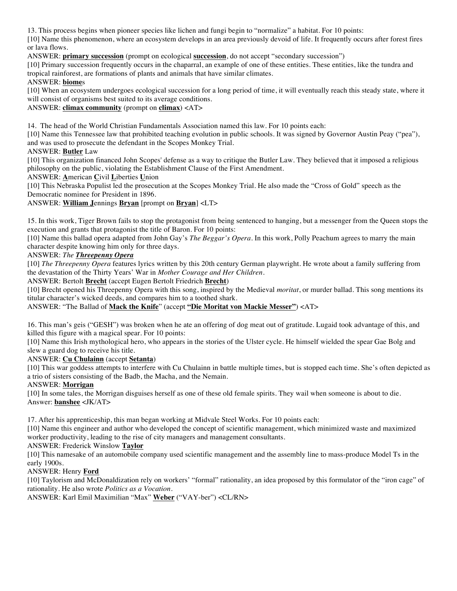13. This process begins when pioneer species like lichen and fungi begin to "normalize" a habitat. For 10 points:

[10] Name this phenomenon, where an ecosystem develops in an area previously devoid of life. It frequently occurs after forest fires or lava flows.

ANSWER: **primary succession** (prompt on ecological **succession**, do not accept "secondary succession")

[10] Primary succession frequently occurs in the chaparral, an example of one of these entities. These entities, like the tundra and tropical rainforest, are formations of plants and animals that have similar climates.

## ANSWER: **biome**s

[10] When an ecosystem undergoes ecological succession for a long period of time, it will eventually reach this steady state, where it will consist of organisms best suited to its average conditions.

## ANSWER: **climax community** (prompt on **climax**) <AT>

14. The head of the World Christian Fundamentals Association named this law. For 10 points each:

[10] Name this Tennessee law that prohibited teaching evolution in public schools. It was signed by Governor Austin Peay ("pea"), and was used to prosecute the defendant in the Scopes Monkey Trial.

## ANSWER: **Butler** Law

[10] This organization financed John Scopes' defense as a way to critique the Butler Law. They believed that it imposed a religious philosophy on the public, violating the Establishment Clause of the First Amendment.

ANSWER: **A**merican **C**ivil **L**iberties **U**nion

[10] This Nebraska Populist led the prosecution at the Scopes Monkey Trial. He also made the "Cross of Gold" speech as the Democratic nominee for President in 1896.

## ANSWER: **William J**ennings **Bryan** [prompt on **Bryan**] <LT>

15. In this work, Tiger Brown fails to stop the protagonist from being sentenced to hanging, but a messenger from the Queen stops the execution and grants that protagonist the title of Baron. For 10 points:

[10] Name this ballad opera adapted from John Gay's *The Beggar's Opera*. In this work, Polly Peachum agrees to marry the main character despite knowing him only for three days.

## ANSWER: *The Threepenny Opera*

[10] *The Threepenny Opera* features lyrics written by this 20th century German playwright. He wrote about a family suffering from the devastation of the Thirty Years' War in *Mother Courage and Her Children*.

#### ANSWER: Bertolt **Brecht** (accept Eugen Bertolt Friedrich **Brecht**)

[10] Brecht opened his Threepenny Opera with this song, inspired by the Medieval *moritat*, or murder ballad. This song mentions its titular character's wicked deeds, and compares him to a toothed shark.

ANSWER: "The Ballad of **Mack the Knife**" (accept **"Die Moritat von Mackie Messer"**) <AT>

16. This man's geis ("GESH") was broken when he ate an offering of dog meat out of gratitude. Lugaid took advantage of this, and killed this figure with a magical spear. For 10 points:

[10] Name this Irish mythological hero, who appears in the stories of the Ulster cycle. He himself wielded the spear Gae Bolg and slew a guard dog to receive his title.

#### ANSWER: **Cu Chulainn** (accept **Setanta**)

[10] This war goddess attempts to interfere with Cu Chulainn in battle multiple times, but is stopped each time. She's often depicted as a trio of sisters consisting of the Badb, the Macha, and the Nemain.

#### ANSWER: **Morrigan**

[10] In some tales, the Morrigan disguises herself as one of these old female spirits. They wail when someone is about to die. Answer: **banshee** <JK/AT>

17. After his apprenticeship, this man began working at Midvale Steel Works. For 10 points each:

[10] Name this engineer and author who developed the concept of scientific management, which minimized waste and maximized worker productivity, leading to the rise of city managers and management consultants.

#### ANSWER: Frederick Winslow **Taylor**

[10] This namesake of an automobile company used scientific management and the assembly line to mass-produce Model Ts in the early 1900s.

#### ANSWER: Henry **Ford**

[10] Taylorism and McDonaldization rely on workers' "formal" rationality, an idea proposed by this formulator of the "iron cage" of rationality. He also wrote *Politics as a Vocation*.

ANSWER: Karl Emil Maximilian "Max" **Weber** ("VAY-ber") <CL/RN>